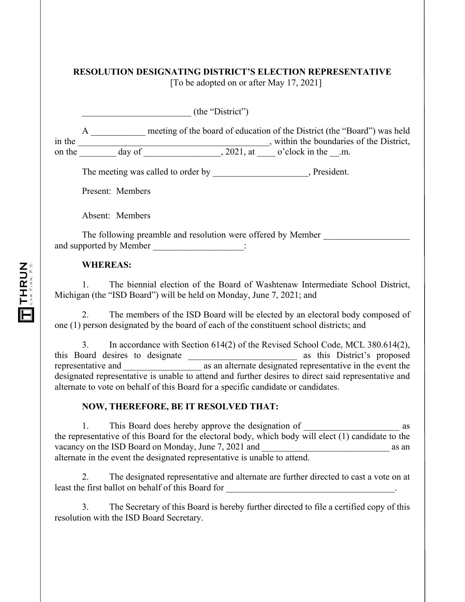|        | <b>RESOLUTION DESIGNATING DISTRICT'S ELECTION REPRESENTATIVE</b><br>[To be adopted on or after May 17, 2021]              |
|--------|---------------------------------------------------------------------------------------------------------------------------|
|        | (the "District")                                                                                                          |
| in the | meeting of the board of education of the District (the "Board") was held<br>A<br>, within the boundaries of the District, |
| on the | , 2021, at o'clock in the .m.<br>day of                                                                                   |
|        | The meeting was called to order by The meeting was called to order by                                                     |
|        | Present: Members                                                                                                          |
|        | Absent: Members                                                                                                           |
|        | The following preamble and resolution were offered by Member<br>and supported by Member                                   |

## **WHEREAS:**

1. The biennial election of the Board of Washtenaw Intermediate School District, Michigan (the "ISD Board") will be held on Monday, June 7, 2021; and

2. The members of the ISD Board will be elected by an electoral body composed of one (1) person designated by the board of each of the constituent school districts; and

3. In accordance with Section 614(2) of the Revised School Code, MCL 380.614(2), this Board desires to designate \_\_\_\_\_\_\_\_\_\_\_\_\_\_\_\_\_\_\_\_\_\_\_\_ as this District's proposed as an alternate designated representative in the event the designated representative is unable to attend and further desires to direct said representative and alternate to vote on behalf of this Board for a specific candidate or candidates.

## **NOW, THEREFORE, BE IT RESOLVED THAT:**

1. This Board does hereby approve the designation of as the representative of this Board for the electoral body, which body will elect (1) candidate to the vacancy on the ISD Board on Monday, June 7, 2021 and as an an alternate in the event the designated representative is unable to attend.

2. The designated representative and alternate are further directed to cast a vote on at least the first ballot on behalf of this Board for

3. The Secretary of this Board is hereby further directed to file a certified copy of this resolution with the ISD Board Secretary.